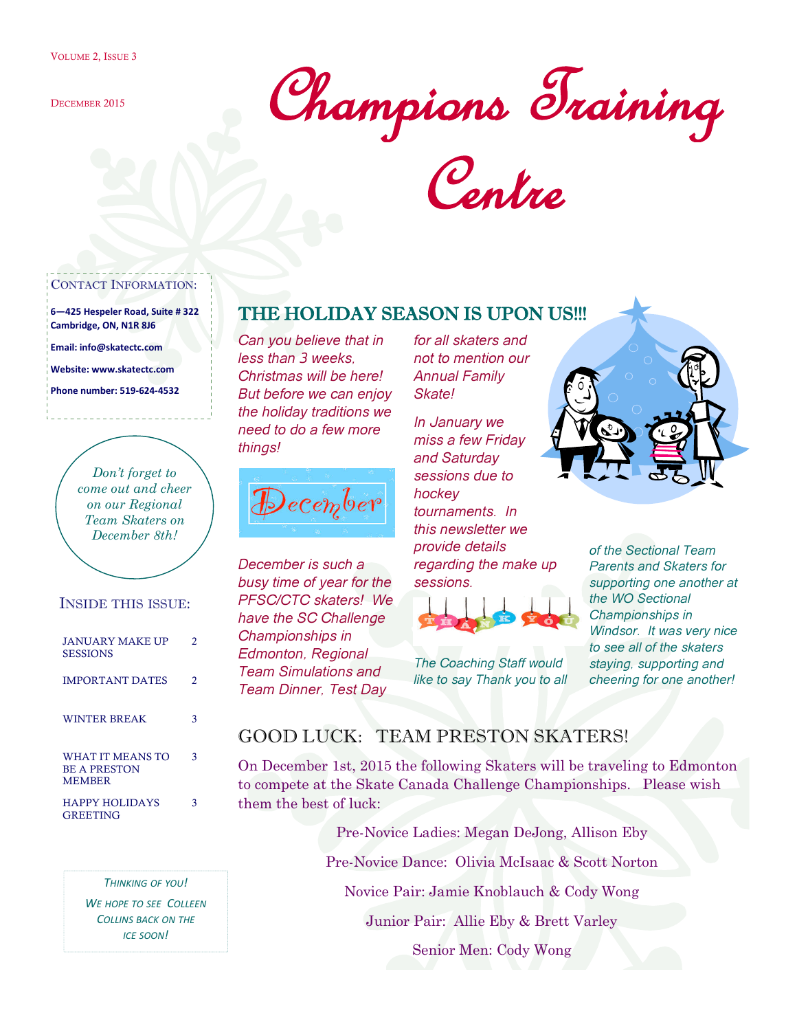DECEMBER 2015

Champions Training

Centre

#### CONTACT INFORMATION:

**6—425 Hespeler Road, Suite # 322 Cambridge, ON, N1R 8J6**

**Email: info@skatectc.com**

**Website: www.skatectc.com**

**Phone number: 519-624-4532**

*Don't forget to come out and cheer on our Regional Team Skaters on December 8th!*

#### INSIDE THIS ISSUE:

| <b>JANUARY MAKE UP</b><br><b>SESSIONS</b>                | 2  |
|----------------------------------------------------------|----|
| <b>IMPORTANT DATES</b>                                   | 2. |
| <b>WINTER BREAK</b>                                      | З  |
| WHAT IT MEANS TO<br><b>BE A PRESTON</b><br><b>MEMBER</b> | 3  |
| <b>HAPPY HOLIDAYS</b><br><b>GREETING</b>                 |    |

*THINKING OF YOU! WE HOPE TO SEE COLLEEN COLLINS BACK ON THE ICE SOON!*

### THE HOLIDAY SEASON IS UPON US!!!

*Can you believe that in less than 3 weeks, Christmas will be here! But before we can enjoy the holiday traditions we need to do a few more things!*



*December is such a busy time of year for the PFSC/CTC skaters! We have the SC Challenge Championships in Edmonton, Regional Team Simulations and Team Dinner, Test Day*

*for all skaters and not to mention our Annual Family Skate!*

*In January we miss a few Friday and Saturday sessions due to hockey tournaments. In this newsletter we provide details regarding the make up sessions.*



*The Coaching Staff would like to say Thank you to all*



*of the Sectional Team Parents and Skaters for supporting one another at the WO Sectional Championships in Windsor. It was very nice to see all of the skaters staying, supporting and cheering for one another!*

## GOOD LUCK: TEAM PRESTON SKATERS!

On December 1st, 2015 the following Skaters will be traveling to Edmonton to compete at the Skate Canada Challenge Championships. Please wish them the best of luck:

> Pre-Novice Ladies: Megan DeJong, Allison Eby Pre-Novice Dance: Olivia McIsaac & Scott Norton Novice Pair: Jamie Knoblauch & Cody Wong

> > Junior Pair: Allie Eby & Brett Varley

Senior Men: Cody Wong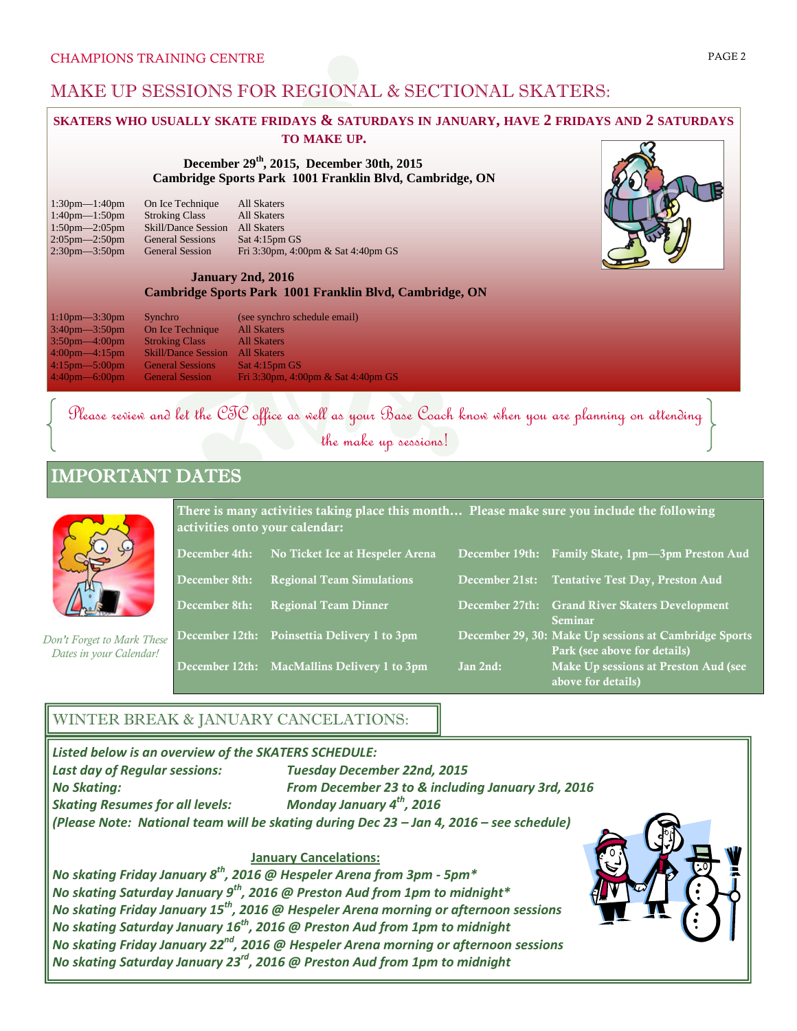## MAKE UP SESSIONS FOR REGIONAL & SECTIONAL SKATERS:

## **SKATERS WHO USUALLY SKATE FRIDAYS & SATURDAYS IN JANUARY, HAVE 2 FRIDAYS AND 2 SATURDAYS**

**TO MAKE UP.**

**December 29th, 2015, December 30th, 2015 Cambridge Sports Park 1001 Franklin Blvd, Cambridge, ON**

| $1:30$ pm— $1:40$ pm | On Ice Technique           | <b>All Skaters</b>                 |
|----------------------|----------------------------|------------------------------------|
| $1:40$ pm— $1:50$ pm | <b>Stroking Class</b>      | All Skaters                        |
| $1:50$ pm— $2:05$ pm | <b>Skill/Dance Session</b> | All Skaters                        |
| $2:05$ pm— $2:50$ pm | <b>General Sessions</b>    | Sat 4:15pm GS                      |
| $2:30$ pm— $3:50$ pm | <b>General Session</b>     | Fri 3:30pm, 4:00pm & Sat 4:40pm GS |
|                      |                            |                                    |

#### **January 2nd, 2016 Cambridge Sports Park 1001 Franklin Blvd, Cambridge, ON**

| $1:10$ pm— $3:30$ pm              | Synchro                    | (see synchro schedule email)       |
|-----------------------------------|----------------------------|------------------------------------|
| $3:40$ pm $-3:50$ pm              | On Ice Technique           | <b>All Skaters</b>                 |
| $3:50$ pm $-4:00$ pm              | <b>Stroking Class</b>      | <b>All Skaters</b>                 |
| $4:00$ pm $-4:15$ pm              | <b>Skill/Dance Session</b> | <b>All Skaters</b>                 |
| $4:15 \text{pm} - 5:00 \text{pm}$ | <b>General Sessions</b>    | Sat 4:15pm GS                      |
| $4:40$ pm—6:00pm                  | <b>General Session</b>     | Fri 3:30pm, 4:00pm & Sat 4:40pm GS |

# Please review and let the CTC office as well as your Base Coach know when you are planning on attending the make up sessions!

# IMPORTANT DATES



*Don't Forget to Mark These Dates in your Calendar!*

| There is many activities taking place this month Please make sure you include the following<br>activities onto your calendar: |                                             |          |                                                                                       |  |  |
|-------------------------------------------------------------------------------------------------------------------------------|---------------------------------------------|----------|---------------------------------------------------------------------------------------|--|--|
| December 4th:                                                                                                                 | No Ticket Ice at Hespeler Arena             |          | December 19th: Family Skate, 1pm-3pm Preston Aud                                      |  |  |
| December 8th:                                                                                                                 | <b>Regional Team Simulations</b>            |          | December 21st: Tentative Test Day, Preston Aud                                        |  |  |
| December 8th:                                                                                                                 | <b>Regional Team Dinner</b>                 |          | December 27th: Grand River Skaters Development<br>Seminar                             |  |  |
|                                                                                                                               | December 12th: Poinsettia Delivery 1 to 3pm |          | December 29, 30: Make Up sessions at Cambridge Sports<br>Park (see above for details) |  |  |
|                                                                                                                               | December 12th: MacMallins Delivery 1 to 3pm | Jan 2nd: | Make Up sessions at Preston Aud (see<br>above for details)                            |  |  |

### WINTER BREAK & JANUARY CANCELATIONS:

*Listed below is an overview of the SKATERS SCHEDULE: Last day of Regular sessions: Tuesday December 22nd, 2015 No Skating: From December 23 to & including January 3rd, 2016* **Skating Resumes for all levels:** *(Please Note: National team will be skating during Dec 23 – Jan 4, 2016 – see schedule)*

### **January Cancelations:**

*No skating Friday January 8th, 2016 @ Hespeler Arena from 3pm - 5pm\* No skating Saturday January 9th, 2016 @ Preston Aud from 1pm to midnight\* No skating Friday January 15th, 2016 @ Hespeler Arena morning or afternoon sessions No skating Saturday January 16th, 2016 @ Preston Aud from 1pm to midnight No skating Friday January 22nd, 2016 @ Hespeler Arena morning or afternoon sessions No skating Saturday January 23rd, 2016 @ Preston Aud from 1pm to midnight*